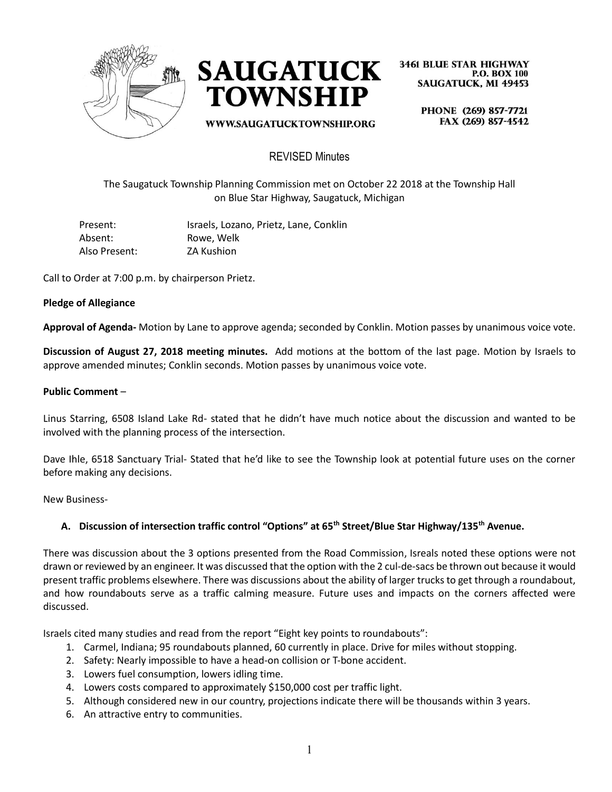



WWW.SAUGATUCKTOWNSHIP.ORG

**3461 BLUE STAR HIGHWAY P.O. BOX 100 SAUGATUCK, MI 49453** 

> PHONE (269) 857-7721 FAX (269) 857-4542

## REVISED Minutes

The Saugatuck Township Planning Commission met on October 22 2018 at the Township Hall on Blue Star Highway, Saugatuck, Michigan

| Present:      | Israels, Lozano, Prietz, Lane, Conklin |
|---------------|----------------------------------------|
| Absent:       | Rowe, Welk                             |
| Also Present: | ZA Kushion                             |

Call to Order at 7:00 p.m. by chairperson Prietz.

## **Pledge of Allegiance**

**Approval of Agenda-** Motion by Lane to approve agenda; seconded by Conklin. Motion passes by unanimous voice vote.

**Discussion of August 27, 2018 meeting minutes.** Add motions at the bottom of the last page. Motion by Israels to approve amended minutes; Conklin seconds. Motion passes by unanimous voice vote.

#### **Public Comment** –

Linus Starring, 6508 Island Lake Rd- stated that he didn't have much notice about the discussion and wanted to be involved with the planning process of the intersection.

Dave Ihle, 6518 Sanctuary Trial- Stated that he'd like to see the Township look at potential future uses on the corner before making any decisions.

New Business-

## **A. Discussion of intersection traffic control "Options" at 65th Street/Blue Star Highway/135th Avenue.**

There was discussion about the 3 options presented from the Road Commission, Isreals noted these options were not drawn or reviewed by an engineer. It was discussed that the option with the 2 cul-de-sacs be thrown out because it would present traffic problems elsewhere. There was discussions about the ability of larger trucks to get through a roundabout, and how roundabouts serve as a traffic calming measure. Future uses and impacts on the corners affected were discussed.

Israels cited many studies and read from the report "Eight key points to roundabouts":

- 1. Carmel, Indiana; 95 roundabouts planned, 60 currently in place. Drive for miles without stopping.
- 2. Safety: Nearly impossible to have a head-on collision or T-bone accident.
- 3. Lowers fuel consumption, lowers idling time.
- 4. Lowers costs compared to approximately \$150,000 cost per traffic light.
- 5. Although considered new in our country, projections indicate there will be thousands within 3 years.
- 6. An attractive entry to communities.